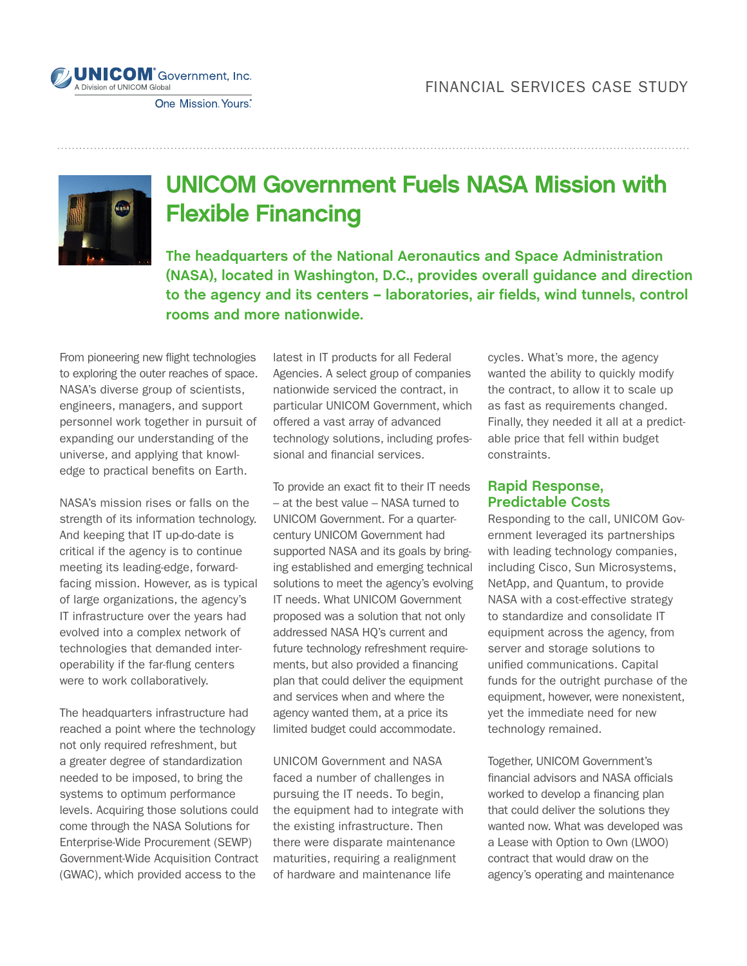

One Mission Yours.



## UNICOM Government Fuels NASA Mission with Flexible Financing

**The headquarters of the National Aeronautics and Space Administration (NASA), located in Washington, D.C., provides overall guidance and direction to the agency and its centers – laboratories, air fields, wind tunnels, control rooms and more nationwide.** 

From pioneering new flight technologies to exploring the outer reaches of space. NASA's diverse group of scientists, engineers, managers, and support personnel work together in pursuit of expanding our understanding of the universe, and applying that knowledge to practical benefits on Earth.

NASA's mission rises or falls on the strength of its information technology. And keeping that IT up-do-date is critical if the agency is to continue meeting its leading-edge, forwardfacing mission. However, as is typical of large organizations, the agency's IT infrastructure over the years had evolved into a complex network of technologies that demanded interoperability if the far-flung centers were to work collaboratively.

The headquarters infrastructure had reached a point where the technology not only required refreshment, but a greater degree of standardization needed to be imposed, to bring the systems to optimum performance levels. Acquiring those solutions could come through the NASA Solutions for Enterprise-Wide Procurement (SEWP) Government-Wide Acquisition Contract (GWAC), which provided access to the

latest in IT products for all Federal Agencies. A select group of companies nationwide serviced the contract, in particular UNICOM Government, which offered a vast array of advanced technology solutions, including professional and financial services.

To provide an exact fit to their IT needs – at the best value – NASA turned to UNICOM Government. For a quartercentury UNICOM Government had supported NASA and its goals by bringing established and emerging technical solutions to meet the agency's evolving IT needs. What UNICOM Government proposed was a solution that not only addressed NASA HQ's current and future technology refreshment requirements, but also provided a financing plan that could deliver the equipment and services when and where the agency wanted them, at a price its limited budget could accommodate.

UNICOM Government and NASA faced a number of challenges in pursuing the IT needs. To begin, the equipment had to integrate with the existing infrastructure. Then there were disparate maintenance maturities, requiring a realignment of hardware and maintenance life

cycles. What's more, the agency wanted the ability to quickly modify the contract, to allow it to scale up as fast as requirements changed. Finally, they needed it all at a predictable price that fell within budget constraints.

## **Rapid Response, Predictable Costs**

Responding to the call, UNICOM Government leveraged its partnerships with leading technology companies, including Cisco, Sun Microsystems, NetApp, and Quantum, to provide NASA with a cost-effective strategy to standardize and consolidate IT equipment across the agency, from server and storage solutions to unified communications. Capital funds for the outright purchase of the equipment, however, were nonexistent, yet the immediate need for new technology remained.

Together, UNICOM Government's financial advisors and NASA officials worked to develop a financing plan that could deliver the solutions they wanted now. What was developed was a Lease with Option to Own (LWOO) contract that would draw on the agency's operating and maintenance